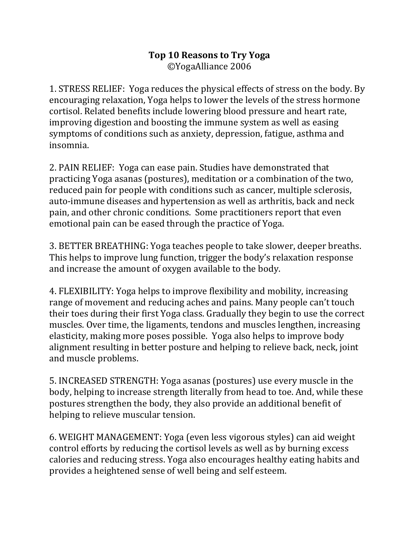## **Top 10 Reasons to Try Yoga** ©YogaAlliance 2006

1. STRESS RELIEF: Yoga reduces the physical effects of stress on the body. By encouraging relaxation, Yoga helps to lower the levels of the stress hormone cortisol. Related benefits include lowering blood pressure and heart rate, improving digestion and boosting the immune system as well as easing symptoms of conditions such as anxiety, depression, fatigue, asthma and insomnia.

2. PAIN RELIEF: Yoga can ease pain. Studies have demonstrated that practicing Yoga asanas (postures), meditation or a combination of the two, reduced pain for people with conditions such as cancer, multiple sclerosis, auto-immune diseases and hypertension as well as arthritis, back and neck pain, and other chronic conditions. Some practitioners report that even emotional pain can be eased through the practice of Yoga.

3. BETTER BREATHING: Yoga teaches people to take slower, deeper breaths. This helps to improve lung function, trigger the body's relaxation response and increase the amount of oxygen available to the body.

4. FLEXIBILITY: Yoga helps to improve flexibility and mobility, increasing range of movement and reducing aches and pains. Many people can't touch their toes during their first Yoga class. Gradually they begin to use the correct muscles. Over time, the ligaments, tendons and muscles lengthen, increasing elasticity, making more poses possible. Yoga also helps to improve body alignment resulting in better posture and helping to relieve back, neck, joint and muscle problems.

5. INCREASED STRENGTH: Yoga asanas (postures) use every muscle in the body, helping to increase strength literally from head to toe. And, while these postures strengthen the body, they also provide an additional benefit of helping to relieve muscular tension.

6. WEIGHT MANAGEMENT: Yoga (even less vigorous styles) can aid weight control efforts by reducing the cortisol levels as well as by burning excess calories and reducing stress. Yoga also encourages healthy eating habits and provides a heightened sense of well being and self esteem.